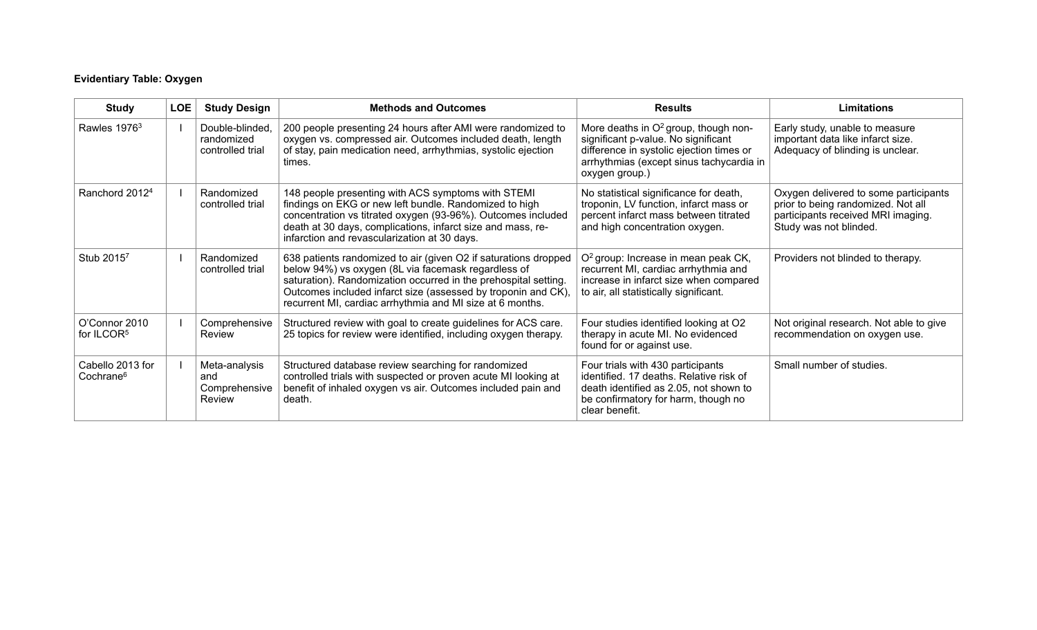# **Evidentiary Table: Oxygen**

| <b>Study</b>                              | <b>LOE</b> | <b>Study Design</b>                               | <b>Methods and Outcomes</b>                                                                                                                                                                                                                                                                                             | <b>Results</b>                                                                                                                                                                                    | <b>Limitations</b>                                                                                                                          |
|-------------------------------------------|------------|---------------------------------------------------|-------------------------------------------------------------------------------------------------------------------------------------------------------------------------------------------------------------------------------------------------------------------------------------------------------------------------|---------------------------------------------------------------------------------------------------------------------------------------------------------------------------------------------------|---------------------------------------------------------------------------------------------------------------------------------------------|
| Rawles 1976 <sup>3</sup>                  |            | Double-blinded,<br>randomized<br>controlled trial | 200 people presenting 24 hours after AMI were randomized to<br>oxygen vs. compressed air. Outcomes included death, length<br>of stay, pain medication need, arrhythmias, systolic ejection<br>times.                                                                                                                    | More deaths in O <sup>2</sup> group, though non-<br>significant p-value. No significant<br>difference in systolic ejection times or<br>arrhythmias (except sinus tachycardia in<br>oxygen group.) | Early study, unable to measure<br>important data like infarct size.<br>Adequacy of blinding is unclear.                                     |
| Ranchord 2012 <sup>4</sup>                |            | Randomized<br>controlled trial                    | 148 people presenting with ACS symptoms with STEMI<br>findings on EKG or new left bundle. Randomized to high<br>concentration vs titrated oxygen (93-96%). Outcomes included<br>death at 30 days, complications, infarct size and mass, re-<br>infarction and revascularization at 30 days.                             | No statistical significance for death,<br>troponin, LV function, infarct mass or<br>percent infarct mass between titrated<br>and high concentration oxygen.                                       | Oxygen delivered to some participants<br>prior to being randomized. Not all<br>participants received MRI imaging.<br>Study was not blinded. |
| Stub 20157                                |            | Randomized<br>controlled trial                    | 638 patients randomized to air (given O2 if saturations dropped<br>below 94%) vs oxygen (8L via facemask regardless of<br>saturation). Randomization occurred in the prehospital setting.<br>Outcomes included infarct size (assessed by troponin and CK),<br>recurrent MI, cardiac arrhythmia and MI size at 6 months. | O <sup>2</sup> group: Increase in mean peak CK,<br>recurrent MI, cardiac arrhythmia and<br>increase in infarct size when compared<br>to air, all statistically significant.                       | Providers not blinded to therapy.                                                                                                           |
| O'Connor 2010<br>for ILCOR <sup>5</sup>   |            | Comprehensive<br>Review                           | Structured review with goal to create guidelines for ACS care.<br>25 topics for review were identified, including oxygen therapy.                                                                                                                                                                                       | Four studies identified looking at O2<br>therapy in acute MI. No evidenced<br>found for or against use.                                                                                           | Not original research. Not able to give<br>recommendation on oxygen use.                                                                    |
| Cabello 2013 for<br>Cochrane <sup>6</sup> |            | Meta-analysis<br>and<br>Comprehensive<br>Review   | Structured database review searching for randomized<br>controlled trials with suspected or proven acute MI looking at<br>benefit of inhaled oxygen vs air. Outcomes included pain and<br>death.                                                                                                                         | Four trials with 430 participants<br>identified. 17 deaths. Relative risk of<br>death identified as 2.05, not shown to<br>be confirmatory for harm, though no<br>clear benefit.                   | Small number of studies.                                                                                                                    |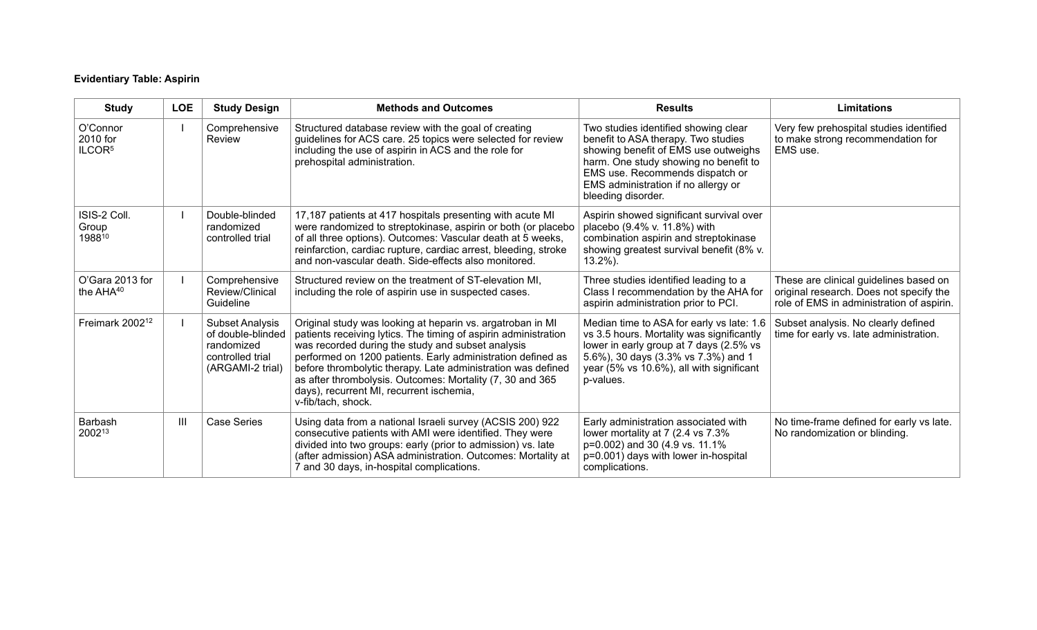## **Evidentiary Table: Aspirin**

| <b>Study</b>                               | <b>LOE</b>     | <b>Study Design</b>                                                                               | <b>Methods and Outcomes</b>                                                                                                                                                                                                                                                                                                                                                                                                                      | <b>Results</b>                                                                                                                                                                                                                                               | <b>Limitations</b>                                                                                                             |
|--------------------------------------------|----------------|---------------------------------------------------------------------------------------------------|--------------------------------------------------------------------------------------------------------------------------------------------------------------------------------------------------------------------------------------------------------------------------------------------------------------------------------------------------------------------------------------------------------------------------------------------------|--------------------------------------------------------------------------------------------------------------------------------------------------------------------------------------------------------------------------------------------------------------|--------------------------------------------------------------------------------------------------------------------------------|
| O'Connor<br>2010 for<br>ILCOR <sup>5</sup> |                | Comprehensive<br>Review                                                                           | Structured database review with the goal of creating<br>guidelines for ACS care. 25 topics were selected for review<br>including the use of aspirin in ACS and the role for<br>prehospital administration.                                                                                                                                                                                                                                       | Two studies identified showing clear<br>benefit to ASA therapy. Two studies<br>showing benefit of EMS use outweighs<br>harm. One study showing no benefit to<br>EMS use. Recommends dispatch or<br>EMS administration if no allergy or<br>bleeding disorder. | Very few prehospital studies identified<br>to make strong recommendation for<br>EMS use.                                       |
| ISIS-2 Coll.<br>Group<br>198810            |                | Double-blinded<br>randomized<br>controlled trial                                                  | 17,187 patients at 417 hospitals presenting with acute MI<br>were randomized to streptokinase, aspirin or both (or placebo<br>of all three options). Outcomes: Vascular death at 5 weeks,<br>reinfarction, cardiac rupture, cardiac arrest, bleeding, stroke<br>and non-vascular death. Side-effects also monitored.                                                                                                                             | Aspirin showed significant survival over<br>placebo (9.4% v. 11.8%) with<br>combination aspirin and streptokinase<br>showing greatest survival benefit (8% v.<br>$13.2\%$ ).                                                                                 |                                                                                                                                |
| O'Gara 2013 for<br>the $AHA^{40}$          |                | Comprehensive<br>Review/Clinical<br>Guideline                                                     | Structured review on the treatment of ST-elevation MI,<br>including the role of aspirin use in suspected cases.                                                                                                                                                                                                                                                                                                                                  | Three studies identified leading to a<br>Class I recommendation by the AHA for<br>aspirin administration prior to PCI.                                                                                                                                       | These are clinical guidelines based on<br>original research. Does not specify the<br>role of EMS in administration of aspirin. |
| Freimark 2002 <sup>12</sup>                |                | <b>Subset Analysis</b><br>of double-blinded<br>randomized<br>controlled trial<br>(ARGAMI-2 trial) | Original study was looking at heparin vs. argatroban in MI<br>patients receiving lytics. The timing of aspirin administration<br>was recorded during the study and subset analysis<br>performed on 1200 patients. Early administration defined as<br>before thrombolytic therapy. Late administration was defined<br>as after thrombolysis. Outcomes: Mortality (7, 30 and 365<br>days), recurrent MI, recurrent ischemia,<br>v-fib/tach, shock. | Median time to ASA for early vs late: 1.6<br>vs 3.5 hours. Mortality was significantly<br>lower in early group at 7 days (2.5% vs<br>5.6%), 30 days (3.3% vs 7.3%) and 1<br>year (5% vs 10.6%), all with significant<br>p-values.                            | Subset analysis. No clearly defined<br>time for early vs. late administration.                                                 |
| Barbash<br>200213                          | $\mathbf{III}$ | <b>Case Series</b>                                                                                | Using data from a national Israeli survey (ACSIS 200) 922<br>consecutive patients with AMI were identified. They were<br>divided into two groups: early (prior to admission) vs. late<br>(after admission) ASA administration. Outcomes: Mortality at<br>7 and 30 days, in-hospital complications.                                                                                                                                               | Early administration associated with<br>lower mortality at 7 (2.4 vs 7.3%<br>p=0.002) and 30 (4.9 vs. 11.1%<br>p=0.001) days with lower in-hospital<br>complications.                                                                                        | No time-frame defined for early vs late.<br>No randomization or blinding.                                                      |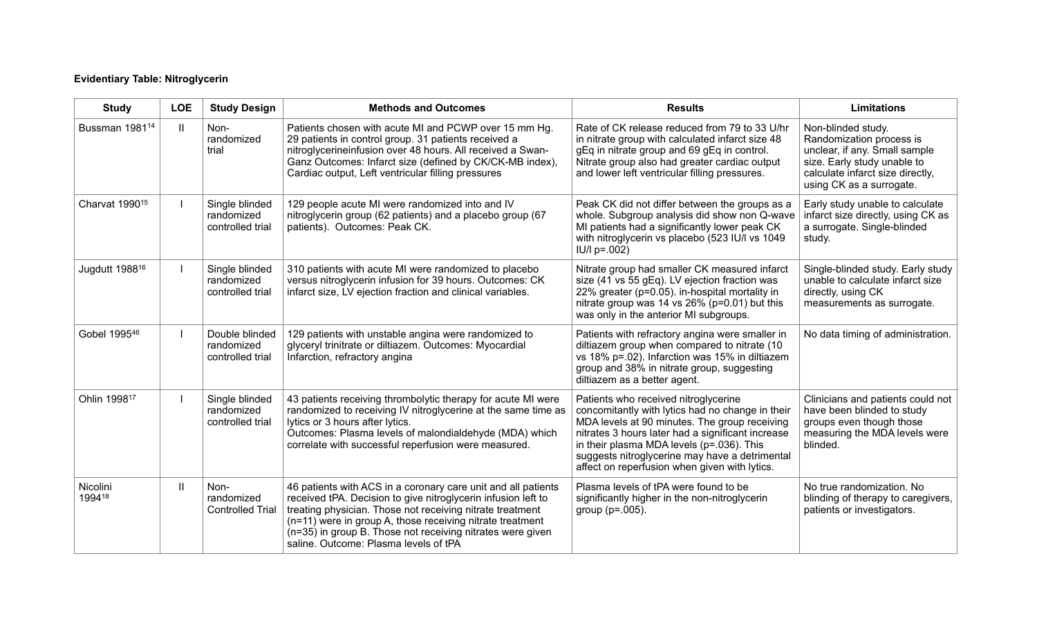## **Evidentiary Table: Nitroglycerin**

| <b>Study</b>               | <b>LOE</b>    | <b>Study Design</b>                              | <b>Methods and Outcomes</b>                                                                                                                                                                                                                                                                                                                                     | <b>Results</b>                                                                                                                                                                                                                                                                                                                                 | <b>Limitations</b>                                                                                                                                                             |
|----------------------------|---------------|--------------------------------------------------|-----------------------------------------------------------------------------------------------------------------------------------------------------------------------------------------------------------------------------------------------------------------------------------------------------------------------------------------------------------------|------------------------------------------------------------------------------------------------------------------------------------------------------------------------------------------------------------------------------------------------------------------------------------------------------------------------------------------------|--------------------------------------------------------------------------------------------------------------------------------------------------------------------------------|
| Bussman 1981 <sup>14</sup> | $\mathbf{II}$ | Non-<br>randomized<br>trial                      | Patients chosen with acute MI and PCWP over 15 mm Hg.<br>29 patients in control group. 31 patients received a<br>nitroglycerineinfusion over 48 hours. All received a Swan-<br>Ganz Outcomes: Infarct size (defined by CK/CK-MB index),<br>Cardiac output, Left ventricular filling pressures                                                                   | Rate of CK release reduced from 79 to 33 U/hr<br>in nitrate group with calculated infarct size 48<br>gEq in nitrate group and 69 gEq in control.<br>Nitrate group also had greater cardiac output<br>and lower left ventricular filling pressures.                                                                                             | Non-blinded study.<br>Randomization process is<br>unclear, if any. Small sample<br>size. Early study unable to<br>calculate infarct size directly,<br>using CK as a surrogate. |
| Charvat 1990 <sup>15</sup> |               | Single blinded<br>randomized<br>controlled trial | 129 people acute MI were randomized into and IV<br>nitroglycerin group (62 patients) and a placebo group (67<br>patients). Outcomes: Peak CK.                                                                                                                                                                                                                   | Peak CK did not differ between the groups as a<br>whole. Subgroup analysis did show non Q-wave<br>MI patients had a significantly lower peak CK<br>with nitroglycerin vs placebo (523 IU/l vs 1049<br>$ U/ p=.002\rangle$                                                                                                                      | Early study unable to calculate<br>infarct size directly, using CK as<br>a surrogate. Single-blinded<br>study.                                                                 |
| Jugdutt 1988 <sup>16</sup> |               | Single blinded<br>randomized<br>controlled trial | 310 patients with acute MI were randomized to placebo<br>versus nitroglycerin infusion for 39 hours. Outcomes: CK<br>infarct size, LV ejection fraction and clinical variables.                                                                                                                                                                                 | Nitrate group had smaller CK measured infarct<br>size (41 vs 55 gEq). LV ejection fraction was<br>22% greater (p=0.05). in-hospital mortality in<br>nitrate group was 14 vs 26% (p=0.01) but this<br>was only in the anterior MI subgroups.                                                                                                    | Single-blinded study. Early study<br>unable to calculate infarct size<br>directly, using CK<br>measurements as surrogate.                                                      |
| Gobel 199546               |               | Double blinded<br>randomized<br>controlled trial | 129 patients with unstable angina were randomized to<br>glyceryl trinitrate or diltiazem. Outcomes: Myocardial<br>Infarction, refractory angina                                                                                                                                                                                                                 | Patients with refractory angina were smaller in<br>diltiazem group when compared to nitrate (10<br>vs 18% p=.02). Infarction was 15% in diltiazem<br>group and 38% in nitrate group, suggesting<br>diltiazem as a better agent.                                                                                                                | No data timing of administration.                                                                                                                                              |
| Ohlin 199817               |               | Single blinded<br>randomized<br>controlled trial | 43 patients receiving thrombolytic therapy for acute MI were<br>randomized to receiving IV nitroglycerine at the same time as<br>lytics or 3 hours after lytics.<br>Outcomes: Plasma levels of malondialdehyde (MDA) which<br>correlate with successful reperfusion were measured.                                                                              | Patients who received nitroglycerine<br>concomitantly with lytics had no change in their<br>MDA levels at 90 minutes. The group receiving<br>nitrates 3 hours later had a significant increase<br>in their plasma MDA levels (p=.036). This<br>suggests nitroglycerine may have a detrimental<br>affect on reperfusion when given with lytics. | Clinicians and patients could not<br>have been blinded to study<br>groups even though those<br>measuring the MDA levels were<br>blinded.                                       |
| Nicolini<br>199418         | $\mathbf{  }$ | Non-<br>randomized<br><b>Controlled Trial</b>    | 46 patients with ACS in a coronary care unit and all patients<br>received tPA. Decision to give nitroglycerin infusion left to<br>treating physician. Those not receiving nitrate treatment<br>(n=11) were in group A, those receiving nitrate treatment<br>(n=35) in group B. Those not receiving nitrates were given<br>saline. Outcome: Plasma levels of tPA | Plasma levels of tPA were found to be<br>significantly higher in the non-nitroglycerin<br>group ( $p = .005$ ).                                                                                                                                                                                                                                | No true randomization. No<br>blinding of therapy to caregivers,<br>patients or investigators.                                                                                  |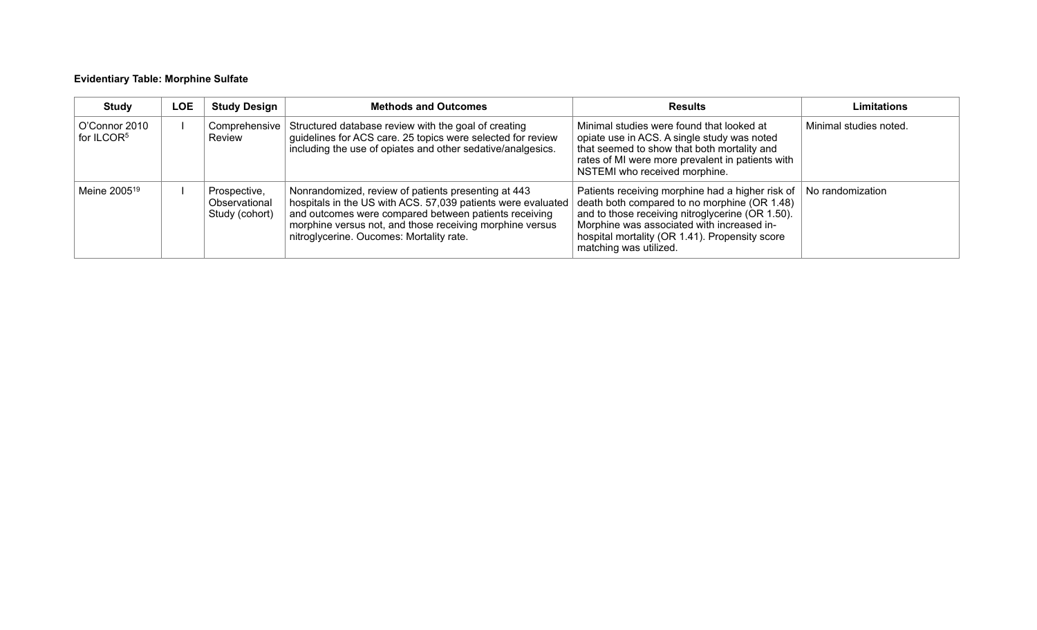## **Evidentiary Table: Morphine Sulfate**

| <b>Study</b>                            | LOE | <b>Study Design</b>                             | <b>Methods and Outcomes</b>                                                                                                                                                                                                                                                          | <b>Results</b>                                                                                                                                                                                                                                                                 | <b>Limitations</b>     |
|-----------------------------------------|-----|-------------------------------------------------|--------------------------------------------------------------------------------------------------------------------------------------------------------------------------------------------------------------------------------------------------------------------------------------|--------------------------------------------------------------------------------------------------------------------------------------------------------------------------------------------------------------------------------------------------------------------------------|------------------------|
| O'Connor 2010<br>for ILCOR <sup>5</sup> |     | Review                                          | Comprehensive Structured database review with the goal of creating<br>guidelines for ACS care. 25 topics were selected for review<br>including the use of opiates and other sedative/analgesics.                                                                                     | Minimal studies were found that looked at<br>opiate use in ACS. A single study was noted<br>that seemed to show that both mortality and<br>rates of MI were more prevalent in patients with<br>NSTEMI who received morphine.                                                   | Minimal studies noted. |
| Meine 2005 <sup>19</sup>                |     | Prospective,<br>Observational<br>Study (cohort) | Nonrandomized, review of patients presenting at 443<br>hospitals in the US with ACS. 57,039 patients were evaluated<br>and outcomes were compared between patients receiving<br>morphine versus not, and those receiving morphine versus<br>nitroglycerine. Oucomes: Mortality rate. | Patients receiving morphine had a higher risk of<br>death both compared to no morphine (OR 1.48)<br>and to those receiving nitroglycerine (OR 1.50).<br>Morphine was associated with increased in-<br>hospital mortality (OR 1.41). Propensity score<br>matching was utilized. | No randomization       |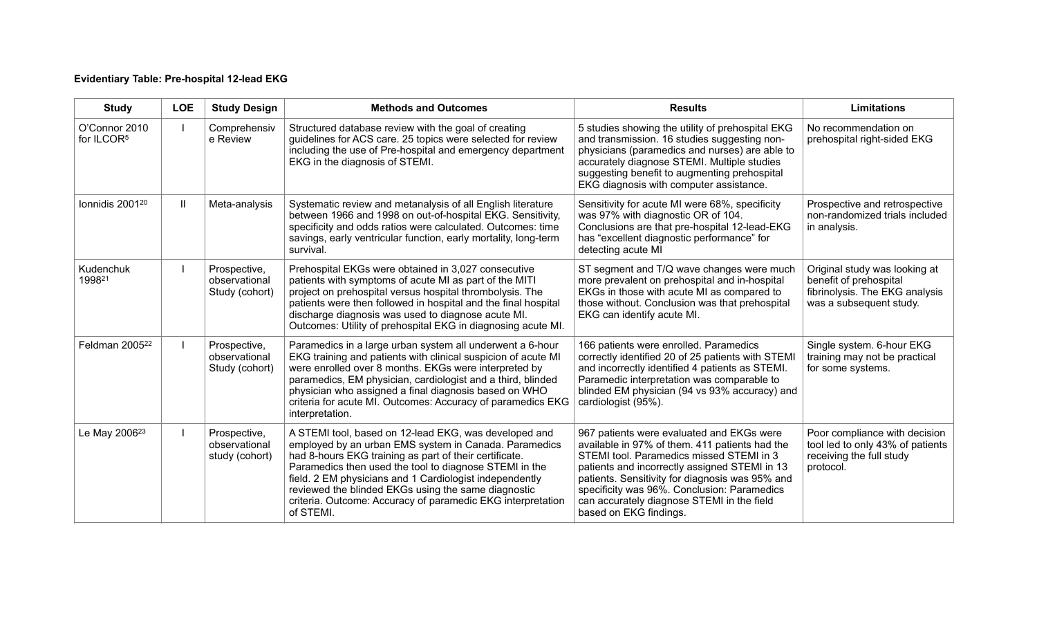## **Evidentiary Table: Pre-hospital 12-lead EKG**

| <b>Study</b>                            | <b>LOE</b>   | <b>Study Design</b>                             | <b>Methods and Outcomes</b>                                                                                                                                                                                                                                                                                                                                                                                                      | <b>Results</b>                                                                                                                                                                                                                                                                                                                                                     | <b>Limitations</b>                                                                                                   |
|-----------------------------------------|--------------|-------------------------------------------------|----------------------------------------------------------------------------------------------------------------------------------------------------------------------------------------------------------------------------------------------------------------------------------------------------------------------------------------------------------------------------------------------------------------------------------|--------------------------------------------------------------------------------------------------------------------------------------------------------------------------------------------------------------------------------------------------------------------------------------------------------------------------------------------------------------------|----------------------------------------------------------------------------------------------------------------------|
| O'Connor 2010<br>for ILCOR <sup>5</sup> |              | Comprehensiv<br>e Review                        | Structured database review with the goal of creating<br>guidelines for ACS care. 25 topics were selected for review<br>including the use of Pre-hospital and emergency department<br>EKG in the diagnosis of STEMI.                                                                                                                                                                                                              | 5 studies showing the utility of prehospital EKG<br>and transmission. 16 studies suggesting non-<br>physicians (paramedics and nurses) are able to<br>accurately diagnose STEMI. Multiple studies<br>suggesting benefit to augmenting prehospital<br>EKG diagnosis with computer assistance.                                                                       | No recommendation on<br>prehospital right-sided EKG                                                                  |
| Ionnidis 2001 <sup>20</sup>             | $\mathbf{H}$ | Meta-analysis                                   | Systematic review and metanalysis of all English literature<br>between 1966 and 1998 on out-of-hospital EKG. Sensitivity,<br>specificity and odds ratios were calculated. Outcomes: time<br>savings, early ventricular function, early mortality, long-term<br>survival.                                                                                                                                                         | Sensitivity for acute MI were 68%, specificity<br>was 97% with diagnostic OR of 104.<br>Conclusions are that pre-hospital 12-lead-EKG<br>has "excellent diagnostic performance" for<br>detecting acute MI                                                                                                                                                          | Prospective and retrospective<br>non-randomized trials included<br>in analysis.                                      |
| Kudenchuk<br>199821                     |              | Prospective,<br>observational<br>Study (cohort) | Prehospital EKGs were obtained in 3,027 consecutive<br>patients with symptoms of acute MI as part of the MITI<br>project on prehospital versus hospital thrombolysis. The<br>patients were then followed in hospital and the final hospital<br>discharge diagnosis was used to diagnose acute MI.<br>Outcomes: Utility of prehospital EKG in diagnosing acute MI.                                                                | ST segment and T/Q wave changes were much<br>more prevalent on prehospital and in-hospital<br>EKGs in those with acute MI as compared to<br>those without. Conclusion was that prehospital<br>EKG can identify acute MI.                                                                                                                                           | Original study was looking at<br>benefit of prehospital<br>fibrinolysis. The EKG analysis<br>was a subsequent study. |
| Feldman 2005 <sup>22</sup>              |              | Prospective,<br>observational<br>Study (cohort) | Paramedics in a large urban system all underwent a 6-hour<br>EKG training and patients with clinical suspicion of acute MI<br>were enrolled over 8 months. EKGs were interpreted by<br>paramedics, EM physician, cardiologist and a third, blinded<br>physician who assigned a final diagnosis based on WHO<br>criteria for acute MI. Outcomes: Accuracy of paramedics EKG<br>interpretation.                                    | 166 patients were enrolled. Paramedics<br>correctly identified 20 of 25 patients with STEMI<br>and incorrectly identified 4 patients as STEMI.<br>Paramedic interpretation was comparable to<br>blinded EM physician (94 vs 93% accuracy) and<br>cardiologist (95%).                                                                                               | Single system. 6-hour EKG<br>training may not be practical<br>for some systems.                                      |
| Le May 2006 <sup>23</sup>               |              | Prospective,<br>observational<br>study (cohort) | A STEMI tool, based on 12-lead EKG, was developed and<br>employed by an urban EMS system in Canada. Paramedics<br>had 8-hours EKG training as part of their certificate.<br>Paramedics then used the tool to diagnose STEMI in the<br>field. 2 EM physicians and 1 Cardiologist independently<br>reviewed the blinded EKGs using the same diagnostic<br>criteria. Outcome: Accuracy of paramedic EKG interpretation<br>of STEMI. | 967 patients were evaluated and EKGs were<br>available in 97% of them. 411 patients had the<br>STEMI tool. Paramedics missed STEMI in 3<br>patients and incorrectly assigned STEMI in 13<br>patients. Sensitivity for diagnosis was 95% and<br>specificity was 96%. Conclusion: Paramedics<br>can accurately diagnose STEMI in the field<br>based on EKG findings. | Poor compliance with decision<br>tool led to only 43% of patients<br>receiving the full study<br>protocol.           |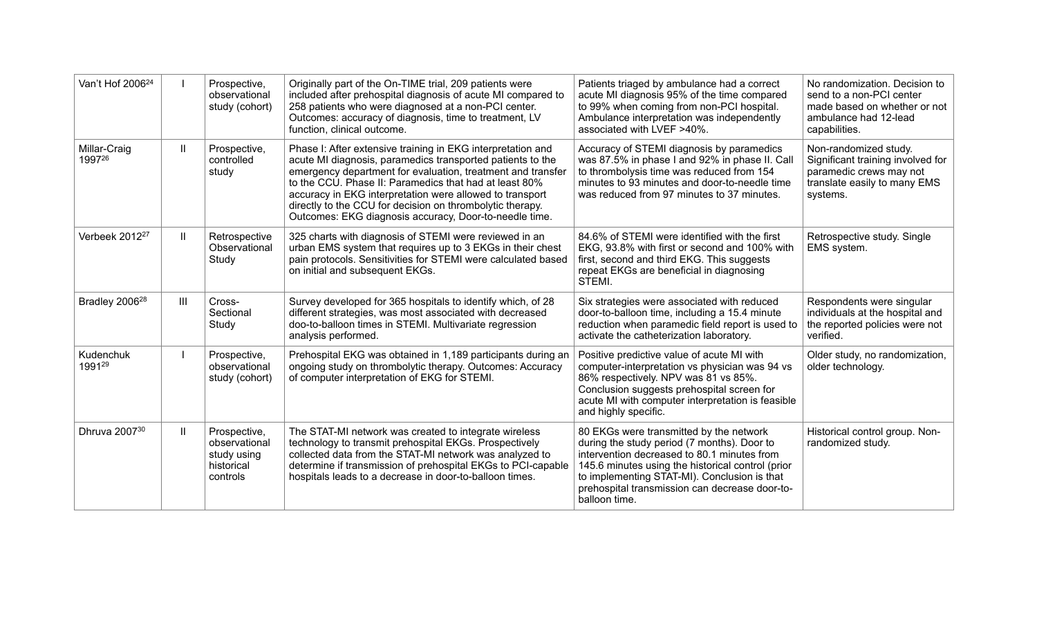| Van't Hof 2006 <sup>24</sup> |               | Prospective,<br>observational<br>study (cohort)                        | Originally part of the On-TIME trial, 209 patients were<br>included after prehospital diagnosis of acute MI compared to<br>258 patients who were diagnosed at a non-PCI center.<br>Outcomes: accuracy of diagnosis, time to treatment, LV<br>function, clinical outcome.                                                                                                                                                              | Patients triaged by ambulance had a correct<br>acute MI diagnosis 95% of the time compared<br>to 99% when coming from non-PCI hospital.<br>Ambulance interpretation was independently<br>associated with LVEF >40%.                                                                                           | No randomization. Decision to<br>send to a non-PCI center<br>made based on whether or not<br>ambulance had 12-lead<br>capabilities. |
|------------------------------|---------------|------------------------------------------------------------------------|---------------------------------------------------------------------------------------------------------------------------------------------------------------------------------------------------------------------------------------------------------------------------------------------------------------------------------------------------------------------------------------------------------------------------------------|---------------------------------------------------------------------------------------------------------------------------------------------------------------------------------------------------------------------------------------------------------------------------------------------------------------|-------------------------------------------------------------------------------------------------------------------------------------|
| Millar-Craig<br>199726       | $\mathbf{II}$ | Prospective,<br>controlled<br>study                                    | Phase I: After extensive training in EKG interpretation and<br>acute MI diagnosis, paramedics transported patients to the<br>emergency department for evaluation, treatment and transfer<br>to the CCU. Phase II: Paramedics that had at least 80%<br>accuracy in EKG interpretation were allowed to transport<br>directly to the CCU for decision on thrombolytic therapy.<br>Outcomes: EKG diagnosis accuracy, Door-to-needle time. | Accuracy of STEMI diagnosis by paramedics<br>was 87.5% in phase I and 92% in phase II. Call<br>to thrombolysis time was reduced from 154<br>minutes to 93 minutes and door-to-needle time<br>was reduced from 97 minutes to 37 minutes.                                                                       | Non-randomized study.<br>Significant training involved for<br>paramedic crews may not<br>translate easily to many EMS<br>systems.   |
| Verbeek 2012 <sup>27</sup>   | $\mathbf{H}$  | Retrospective<br>Observational<br>Study                                | 325 charts with diagnosis of STEMI were reviewed in an<br>urban EMS system that requires up to 3 EKGs in their chest<br>pain protocols. Sensitivities for STEMI were calculated based<br>on initial and subsequent EKGs.                                                                                                                                                                                                              | 84.6% of STEMI were identified with the first<br>EKG, 93.8% with first or second and 100% with<br>first, second and third EKG. This suggests<br>repeat EKGs are beneficial in diagnosing<br>STEMI.                                                                                                            | Retrospective study. Single<br>EMS system.                                                                                          |
| Bradley 2006 <sup>28</sup>   | Ш             | Cross-<br>Sectional<br>Study                                           | Survey developed for 365 hospitals to identify which, of 28<br>different strategies, was most associated with decreased<br>doo-to-balloon times in STEMI. Multivariate regression<br>analysis performed.                                                                                                                                                                                                                              | Six strategies were associated with reduced<br>door-to-balloon time, including a 15.4 minute<br>reduction when paramedic field report is used to<br>activate the catheterization laboratory.                                                                                                                  | Respondents were singular<br>individuals at the hospital and<br>the reported policies were not<br>verified.                         |
| Kudenchuk<br>199129          |               | Prospective,<br>observational<br>study (cohort)                        | Prehospital EKG was obtained in 1,189 participants during ar<br>ongoing study on thrombolytic therapy. Outcomes: Accuracy<br>of computer interpretation of EKG for STEMI.                                                                                                                                                                                                                                                             | Positive predictive value of acute MI with<br>computer-interpretation vs physician was 94 vs<br>86% respectively. NPV was 81 vs 85%.<br>Conclusion suggests prehospital screen for<br>acute MI with computer interpretation is feasible<br>and highly specific.                                               | Older study, no randomization,<br>older technology.                                                                                 |
| Dhruva 2007 <sup>30</sup>    | $\mathbf{II}$ | Prospective,<br>observational<br>study using<br>historical<br>controls | The STAT-MI network was created to integrate wireless<br>technology to transmit prehospital EKGs. Prospectively<br>collected data from the STAT-MI network was analyzed to<br>determine if transmission of prehospital EKGs to PCI-capable<br>hospitals leads to a decrease in door-to-balloon times.                                                                                                                                 | 80 EKGs were transmitted by the network<br>during the study period (7 months). Door to<br>intervention decreased to 80.1 minutes from<br>145.6 minutes using the historical control (prior<br>to implementing STAT-MI). Conclusion is that<br>prehospital transmission can decrease door-to-<br>balloon time. | Historical control group. Non-<br>randomized study.                                                                                 |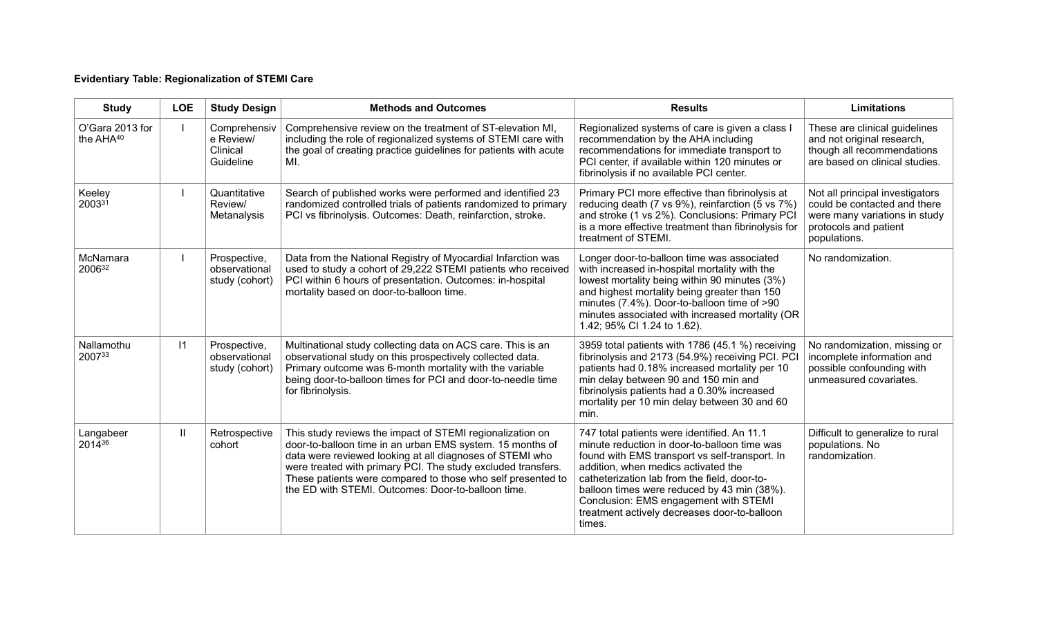## **Evidentiary Table: Regionalization of STEMI Care**

| <b>Study</b>                 | <b>LOE</b> | <b>Study Design</b>                                | <b>Methods and Outcomes</b>                                                                                                                                                                                                                                                                                                                                             | <b>Results</b>                                                                                                                                                                                                                                                                                                                                                                         | <b>Limitations</b>                                                                                                                        |
|------------------------------|------------|----------------------------------------------------|-------------------------------------------------------------------------------------------------------------------------------------------------------------------------------------------------------------------------------------------------------------------------------------------------------------------------------------------------------------------------|----------------------------------------------------------------------------------------------------------------------------------------------------------------------------------------------------------------------------------------------------------------------------------------------------------------------------------------------------------------------------------------|-------------------------------------------------------------------------------------------------------------------------------------------|
| O'Gara 2013 for<br>the AHA40 |            | Comprehensiv<br>e Review/<br>Clinical<br>Guideline | Comprehensive review on the treatment of ST-elevation MI,<br>including the role of regionalized systems of STEMI care with<br>the goal of creating practice guidelines for patients with acute<br>MI.                                                                                                                                                                   | Regionalized systems of care is given a class I<br>recommendation by the AHA including<br>recommendations for immediate transport to<br>PCI center, if available within 120 minutes or<br>fibrinolysis if no available PCI center.                                                                                                                                                     | These are clinical guidelines<br>and not original research,<br>though all recommendations<br>are based on clinical studies.               |
| Keeley<br>200331             |            | Quantitative<br>Review/<br>Metanalysis             | Search of published works were performed and identified 23<br>randomized controlled trials of patients randomized to primary<br>PCI vs fibrinolysis. Outcomes: Death, reinfarction, stroke.                                                                                                                                                                             | Primary PCI more effective than fibrinolysis at<br>reducing death (7 vs 9%), reinfarction (5 vs 7%)<br>and stroke (1 vs 2%). Conclusions: Primary PCI<br>is a more effective treatment than fibrinolysis for<br>treatment of STEMI.                                                                                                                                                    | Not all principal investigators<br>could be contacted and there<br>were many variations in study<br>protocols and patient<br>populations. |
| McNamara<br>200632           |            | Prospective,<br>observational<br>study (cohort)    | Data from the National Registry of Myocardial Infarction was<br>used to study a cohort of 29,222 STEMI patients who received<br>PCI within 6 hours of presentation. Outcomes: in-hospital<br>mortality based on door-to-balloon time.                                                                                                                                   | Longer door-to-balloon time was associated<br>with increased in-hospital mortality with the<br>lowest mortality being within 90 minutes (3%)<br>and highest mortality being greater than 150<br>minutes (7.4%). Door-to-balloon time of >90<br>minutes associated with increased mortality (OR<br>1.42; 95% CI 1.24 to 1.62).                                                          | No randomization.                                                                                                                         |
| Nallamothu<br>200733         | $\vert$ 11 | Prospective,<br>observational<br>study (cohort)    | Multinational study collecting data on ACS care. This is an<br>observational study on this prospectively collected data.<br>Primary outcome was 6-month mortality with the variable<br>being door-to-balloon times for PCI and door-to-needle time<br>for fibrinolysis.                                                                                                 | 3959 total patients with 1786 (45.1 %) receiving<br>fibrinolysis and 2173 (54.9%) receiving PCI. PCI<br>patients had 0.18% increased mortality per 10<br>min delay between 90 and 150 min and<br>fibrinolysis patients had a 0.30% increased<br>mortality per 10 min delay between 30 and 60<br>min.                                                                                   | No randomization, missing or<br>incomplete information and<br>possible confounding with<br>unmeasured covariates.                         |
| Langabeer<br>201436          | Ш          | Retrospective<br>cohort                            | This study reviews the impact of STEMI regionalization on<br>door-to-balloon time in an urban EMS system. 15 months of<br>data were reviewed looking at all diagnoses of STEMI who<br>were treated with primary PCI. The study excluded transfers.<br>These patients were compared to those who self presented to<br>the ED with STEMI. Outcomes: Door-to-balloon time. | 747 total patients were identified. An 11.1<br>minute reduction in door-to-balloon time was<br>found with EMS transport vs self-transport. In<br>addition, when medics activated the<br>catheterization lab from the field, door-to-<br>balloon times were reduced by 43 min (38%).<br>Conclusion: EMS engagement with STEMI<br>treatment actively decreases door-to-balloon<br>times. | Difficult to generalize to rural<br>populations. No<br>randomization.                                                                     |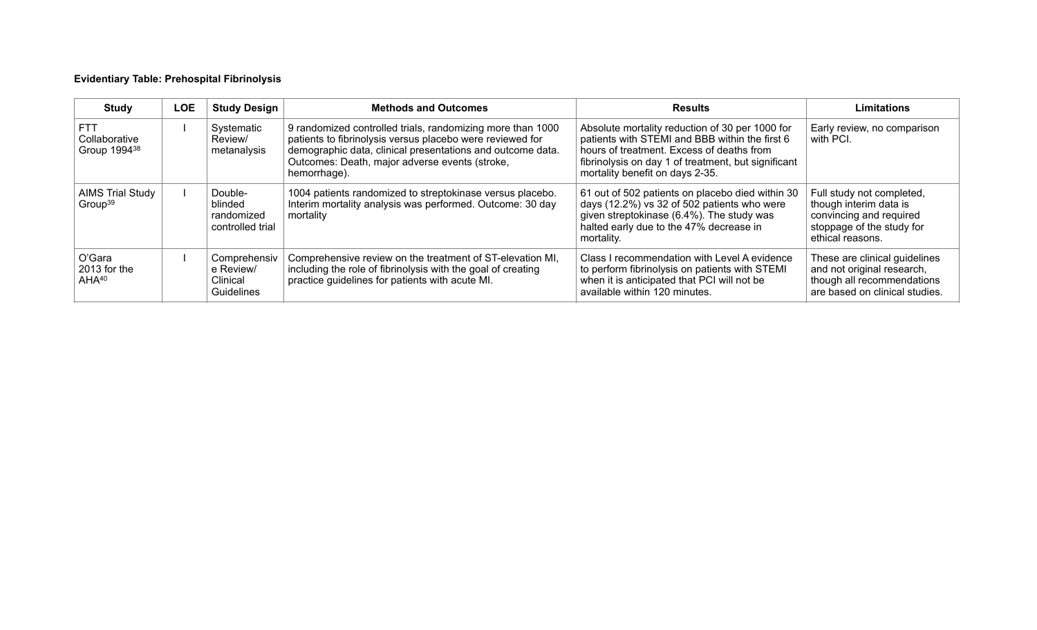## **Evidentiary Table: Prehospital Fibrinolysis**

| Study                                                   | LOE | <b>Study Design</b>                                  | <b>Methods and Outcomes</b>                                                                                                                                                                                                                             | <b>Results</b>                                                                                                                                                                                                                           | <b>Limitations</b>                                                                                                              |
|---------------------------------------------------------|-----|------------------------------------------------------|---------------------------------------------------------------------------------------------------------------------------------------------------------------------------------------------------------------------------------------------------------|------------------------------------------------------------------------------------------------------------------------------------------------------------------------------------------------------------------------------------------|---------------------------------------------------------------------------------------------------------------------------------|
| <b>FTT</b><br>Collaborative<br>Group 1994 <sup>38</sup> |     | Systematic<br>Review/<br>metanalysis                 | 9 randomized controlled trials, randomizing more than 1000<br>patients to fibrinolysis versus placebo were reviewed for<br>demographic data, clinical presentations and outcome data.<br>Outcomes: Death, major adverse events (stroke,<br>hemorrhage). | Absolute mortality reduction of 30 per 1000 for<br>patients with STEMI and BBB within the first 6<br>hours of treatment. Excess of deaths from<br>fibrinolysis on day 1 of treatment, but significant<br>mortality benefit on days 2-35. | Early review, no comparison<br>with PCI.                                                                                        |
| <b>AIMS Trial Study</b><br>Group <sup>39</sup>          |     | Double-<br>blinded<br>randomized<br>controlled trial | 1004 patients randomized to streptokinase versus placebo.<br>Interim mortality analysis was performed. Outcome: 30 day<br>mortality                                                                                                                     | 61 out of 502 patients on placebo died within 30<br>days (12.2%) vs 32 of 502 patients who were<br>given streptokinase (6.4%). The study was<br>halted early due to the 47% decrease in<br>mortality.                                    | Full study not completed,<br>though interim data is<br>convincing and required<br>stoppage of the study for<br>ethical reasons. |
| O'Gara<br>2013 for the<br>AHA <sup>40</sup>             |     | Comprehensiv<br>e Review/<br>Clinical<br>Guidelines  | Comprehensive review on the treatment of ST-elevation MI,<br>including the role of fibrinolysis with the goal of creating<br>practice guidelines for patients with acute MI.                                                                            | Class I recommendation with Level A evidence<br>to perform fibrinolysis on patients with STEMI<br>when it is anticipated that PCI will not be<br>available within 120 minutes.                                                           | These are clinical guidelines<br>and not original research,<br>though all recommendations<br>are based on clinical studies.     |